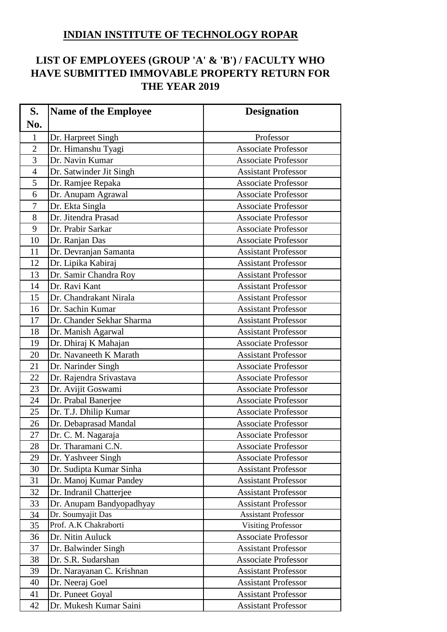## **INDIAN INSTITUTE OF TECHNOLOGY ROPAR**

## **LIST OF EMPLOYEES (GROUP 'A' & 'B') / FACULTY WHO HAVE SUBMITTED IMMOVABLE PROPERTY RETURN FOR THE YEAR 2019**

| S.             | <b>Name of the Employee</b> | <b>Designation</b>         |
|----------------|-----------------------------|----------------------------|
| No.            |                             |                            |
| $\mathbf{1}$   | Dr. Harpreet Singh          | Professor                  |
| $\overline{2}$ | Dr. Himanshu Tyagi          | <b>Associate Professor</b> |
| 3              | Dr. Navin Kumar             | <b>Associate Professor</b> |
| $\overline{4}$ | Dr. Satwinder Jit Singh     | <b>Assistant Professor</b> |
| 5              | Dr. Ramjee Repaka           | <b>Associate Professor</b> |
| 6              | Dr. Anupam Agrawal          | <b>Associate Professor</b> |
| $\overline{7}$ | Dr. Ekta Singla             | <b>Associate Professor</b> |
| 8              | Dr. Jitendra Prasad         | <b>Associate Professor</b> |
| 9              | Dr. Prabir Sarkar           | <b>Associate Professor</b> |
| 10             | Dr. Ranjan Das              | <b>Associate Professor</b> |
| 11             | Dr. Devranjan Samanta       | <b>Assistant Professor</b> |
| 12             | Dr. Lipika Kabiraj          | <b>Assistant Professor</b> |
| 13             | Dr. Samir Chandra Roy       | <b>Assistant Professor</b> |
| 14             | Dr. Ravi Kant               | <b>Assistant Professor</b> |
| 15             | Dr. Chandrakant Nirala      | <b>Assistant Professor</b> |
| 16             | Dr. Sachin Kumar            | <b>Assistant Professor</b> |
| 17             | Dr. Chander Sekhar Sharma   | <b>Assistant Professor</b> |
| 18             | Dr. Manish Agarwal          | <b>Assistant Professor</b> |
| 19             | Dr. Dhiraj K Mahajan        | <b>Associate Professor</b> |
| 20             | Dr. Navaneeth K Marath      | <b>Assistant Professor</b> |
| 21             | Dr. Narinder Singh          | <b>Associate Professor</b> |
| 22             | Dr. Rajendra Srivastava     | <b>Associate Professor</b> |
| 23             | Dr. Avijit Goswami          | <b>Associate Professor</b> |
| 24             | Dr. Prabal Banerjee         | <b>Associate Professor</b> |
| 25             | Dr. T.J. Dhilip Kumar       | <b>Associate Professor</b> |
| 26             | Dr. Debaprasad Mandal       | <b>Associate Professor</b> |
| 27             | Dr. C. M. Nagaraja          | <b>Associate Professor</b> |
| 28             | Dr. Tharamani C.N.          | <b>Associate Professor</b> |
| 29             | Dr. Yashveer Singh          | <b>Associate Professor</b> |
| 30             | Dr. Sudipta Kumar Sinha     | <b>Assistant Professor</b> |
| 31             | Dr. Manoj Kumar Pandey      | <b>Assistant Professor</b> |
| 32             | Dr. Indranil Chatterjee     | <b>Assistant Professor</b> |
| 33             | Dr. Anupam Bandyopadhyay    | <b>Assistant Professor</b> |
| 34             | Dr. Soumyajit Das           | <b>Assistant Professor</b> |
| 35             | Prof. A.K Chakraborti       | <b>Visiting Professor</b>  |
| 36             | Dr. Nitin Auluck            | <b>Associate Professor</b> |
| 37             | Dr. Balwinder Singh         | <b>Assistant Professor</b> |
| 38             | Dr. S.R. Sudarshan          | <b>Associate Professor</b> |
| 39             | Dr. Narayanan C. Krishnan   | <b>Assistant Professor</b> |
| 40             | Dr. Neeraj Goel             | <b>Assistant Professor</b> |
| 41             | Dr. Puneet Goyal            | <b>Assistant Professor</b> |
| 42             | Dr. Mukesh Kumar Saini      | <b>Assistant Professor</b> |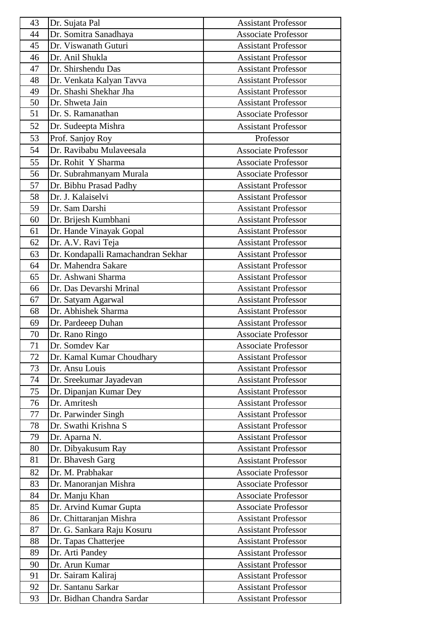| 43 | Dr. Sujata Pal                     | <b>Assistant Professor</b> |
|----|------------------------------------|----------------------------|
| 44 | Dr. Somitra Sanadhaya              | <b>Associate Professor</b> |
| 45 | Dr. Viswanath Guturi               | <b>Assistant Professor</b> |
| 46 | Dr. Anil Shukla                    | <b>Assistant Professor</b> |
| 47 | Dr. Shirshendu Das                 | <b>Assistant Professor</b> |
| 48 | Dr. Venkata Kalyan Tavva           | <b>Assistant Professor</b> |
| 49 | Dr. Shashi Shekhar Jha             | <b>Assistant Professor</b> |
| 50 | Dr. Shweta Jain                    | <b>Assistant Professor</b> |
| 51 | Dr. S. Ramanathan                  | <b>Associate Professor</b> |
| 52 | Dr. Sudeepta Mishra                | <b>Assistant Professor</b> |
| 53 | Prof. Sanjoy Roy                   | Professor                  |
| 54 | Dr. Ravibabu Mulaveesala           | <b>Associate Professor</b> |
| 55 | Dr. Rohit Y Sharma                 | <b>Associate Professor</b> |
| 56 | Dr. Subrahmanyam Murala            | <b>Associate Professor</b> |
| 57 | Dr. Bibhu Prasad Padhy             | <b>Assistant Professor</b> |
| 58 | Dr. J. Kalaiselvi                  | <b>Assistant Professor</b> |
| 59 | Dr. Sam Darshi                     | <b>Assistant Professor</b> |
| 60 | Dr. Brijesh Kumbhani               | <b>Assistant Professor</b> |
| 61 | Dr. Hande Vinayak Gopal            | <b>Assistant Professor</b> |
| 62 | Dr. A.V. Ravi Teja                 | <b>Assistant Professor</b> |
| 63 | Dr. Kondapalli Ramachandran Sekhar | <b>Assistant Professor</b> |
| 64 | Dr. Mahendra Sakare                | <b>Assistant Professor</b> |
| 65 | Dr. Ashwani Sharma                 | <b>Assistant Professor</b> |
| 66 | Dr. Das Devarshi Mrinal            | <b>Assistant Professor</b> |
| 67 | Dr. Satyam Agarwal                 | <b>Assistant Professor</b> |
| 68 | Dr. Abhishek Sharma                | <b>Assistant Professor</b> |
| 69 | Dr. Pardeeep Duhan                 | <b>Assistant Professor</b> |
| 70 | Dr. Rano Ringo                     | <b>Associate Professor</b> |
| 71 | Dr. Somdev Kar                     | <b>Associate Professor</b> |
| 72 | Dr. Kamal Kumar Choudhary          | <b>Assistant Professor</b> |
| 73 | Dr. Ansu Louis                     | <b>Assistant Professor</b> |
| 74 | Dr. Sreekumar Jayadevan            | <b>Assistant Professor</b> |
| 75 | Dr. Dipanjan Kumar Dey             | <b>Assistant Professor</b> |
| 76 | Dr. Amritesh                       | <b>Assistant Professor</b> |
| 77 | Dr. Parwinder Singh                | <b>Assistant Professor</b> |
| 78 | Dr. Swathi Krishna S               | <b>Assistant Professor</b> |
| 79 | Dr. Aparna N.                      | <b>Assistant Professor</b> |
| 80 | Dr. Dibyakusum Ray                 | <b>Assistant Professor</b> |
| 81 | Dr. Bhavesh Garg                   | <b>Assistant Professor</b> |
| 82 | Dr. M. Prabhakar                   | <b>Associate Professor</b> |
| 83 | Dr. Manoranjan Mishra              | <b>Associate Professor</b> |
| 84 | Dr. Manju Khan                     | <b>Associate Professor</b> |
| 85 | Dr. Arvind Kumar Gupta             | <b>Associate Professor</b> |
| 86 | Dr. Chittaranjan Mishra            | <b>Assistant Professor</b> |
| 87 | Dr. G. Sankara Raju Kosuru         | <b>Assistant Professor</b> |
| 88 | Dr. Tapas Chatterjee               | <b>Assistant Professor</b> |
| 89 | Dr. Arti Pandey                    | <b>Assistant Professor</b> |
| 90 | Dr. Arun Kumar                     | <b>Assistant Professor</b> |
| 91 | Dr. Sairam Kaliraj                 | <b>Assistant Professor</b> |
| 92 | Dr. Santanu Sarkar                 | <b>Assistant Professor</b> |
| 93 | Dr. Bidhan Chandra Sardar          | <b>Assistant Professor</b> |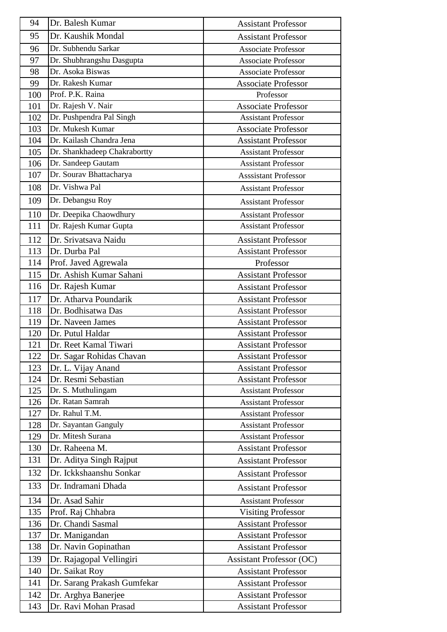| 94  | Dr. Balesh Kumar             | <b>Assistant Professor</b>      |
|-----|------------------------------|---------------------------------|
| 95  | Dr. Kaushik Mondal           | <b>Assistant Professor</b>      |
| 96  | Dr. Subhendu Sarkar          | <b>Associate Professor</b>      |
| 97  | Dr. Shubhrangshu Dasgupta    | <b>Associate Professor</b>      |
| 98  | Dr. Asoka Biswas             | <b>Associate Professor</b>      |
| 99  | Dr. Rakesh Kumar             | <b>Associate Professor</b>      |
| 100 | Prof. P.K. Raina             | Professor                       |
| 101 | Dr. Rajesh V. Nair           | <b>Associate Professor</b>      |
| 102 | Dr. Pushpendra Pal Singh     | <b>Assistant Professor</b>      |
| 103 | Dr. Mukesh Kumar             | <b>Associate Professor</b>      |
| 104 | Dr. Kailash Chandra Jena     | <b>Assistant Professor</b>      |
| 105 | Dr. Shankhadeep Chakrabortty | <b>Assistant Professor</b>      |
| 106 | Dr. Sandeep Gautam           | <b>Assistant Professor</b>      |
| 107 | Dr. Sourav Bhattacharya      | <b>Asssistant Professor</b>     |
| 108 | Dr. Vishwa Pal               | <b>Assistant Professor</b>      |
| 109 | Dr. Debangsu Roy             | <b>Assistant Professor</b>      |
| 110 | Dr. Deepika Chaowdhury       | <b>Assistant Professor</b>      |
| 111 | Dr. Rajesh Kumar Gupta       | <b>Assistant Professor</b>      |
| 112 | Dr. Srivatsava Naidu         | <b>Assistant Professor</b>      |
| 113 | Dr. Durba Pal                | <b>Assistant Professor</b>      |
| 114 | Prof. Javed Agrewala         | Professor                       |
| 115 | Dr. Ashish Kumar Sahani      | <b>Assistant Professor</b>      |
| 116 | Dr. Rajesh Kumar             | <b>Assistant Professor</b>      |
| 117 | Dr. Atharva Poundarik        | <b>Assistant Professor</b>      |
| 118 | Dr. Bodhisatwa Das           | <b>Assistant Professor</b>      |
| 119 | Dr. Naveen James             | <b>Assistant Professor</b>      |
| 120 | Dr. Putul Haldar             | <b>Assistant Professor</b>      |
| 121 | Dr. Reet Kamal Tiwari        | <b>Assistant Professor</b>      |
| 122 | Dr. Sagar Rohidas Chavan     | <b>Assistant Professor</b>      |
| 123 | Dr. L. Vijay Anand           | <b>Assistant Professor</b>      |
| 124 | Dr. Resmi Sebastian          | <b>Assistant Professor</b>      |
| 125 | Dr. S. Muthulingam           | <b>Assistant Professor</b>      |
| 126 | Dr. Ratan Samrah             | <b>Assistant Professor</b>      |
| 127 | Dr. Rahul T.M.               | <b>Assistant Professor</b>      |
| 128 | Dr. Sayantan Ganguly         | <b>Assistant Professor</b>      |
| 129 | Dr. Mitesh Surana            | <b>Assistant Professor</b>      |
| 130 | Dr. Raheena M.               | <b>Assistant Professor</b>      |
| 131 | Dr. Aditya Singh Rajput      | <b>Assistant Professor</b>      |
| 132 | Dr. Ickkshaanshu Sonkar      | <b>Assistant Professor</b>      |
| 133 | Dr. Indramani Dhada          | <b>Assistant Professor</b>      |
| 134 | Dr. Asad Sahir               | <b>Assistant Professor</b>      |
| 135 | Prof. Raj Chhabra            | <b>Visiting Professor</b>       |
| 136 | Dr. Chandi Sasmal            | <b>Assistant Professor</b>      |
| 137 | Dr. Manigandan               | <b>Assistant Professor</b>      |
| 138 | Dr. Navin Gopinathan         | <b>Assistant Professor</b>      |
| 139 | Dr. Rajagopal Vellingiri     | <b>Assistant Professor (OC)</b> |
| 140 | Dr. Saikat Roy               | <b>Assistant Professor</b>      |
| 141 | Dr. Sarang Prakash Gumfekar  | <b>Assistant Professor</b>      |
| 142 | Dr. Arghya Banerjee          | <b>Assistant Professor</b>      |
| 143 | Dr. Ravi Mohan Prasad        | <b>Assistant Professor</b>      |